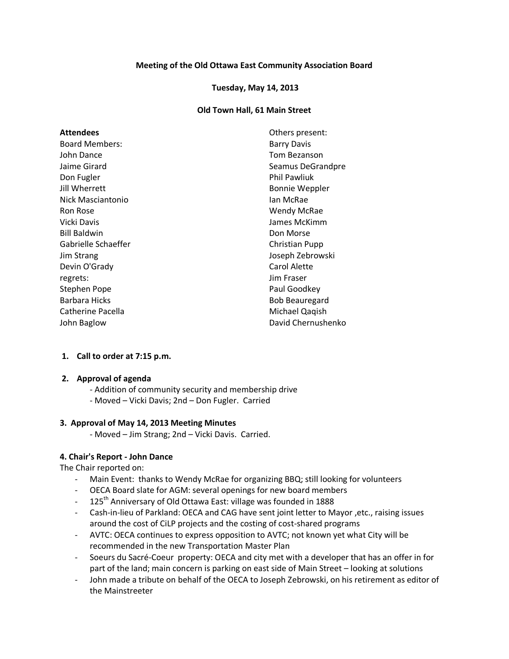### **Meeting of the Old Ottawa East Community Association Board**

#### **Tuesday, May 14, 2013**

#### **Old Town Hall, 61 Main Street**

| <b>Attendees</b>      | Others present:       |
|-----------------------|-----------------------|
| <b>Board Members:</b> | <b>Barry Davis</b>    |
| John Dance            | Tom Bezanson          |
| Jaime Girard          | Seamus DeGrandpre     |
| Don Fugler            | <b>Phil Pawliuk</b>   |
| Jill Wherrett         | <b>Bonnie Weppler</b> |
| Nick Masciantonio     | lan McRae             |
| Ron Rose              | Wendy McRae           |
| Vicki Davis           | James McKimm          |
| <b>Bill Baldwin</b>   | Don Morse             |
| Gabrielle Schaeffer   | Christian Pupp        |
| Jim Strang            | Joseph Zebrowski      |
| Devin O'Grady         | Carol Alette          |
| regrets:              | Jim Fraser            |
| Stephen Pope          | Paul Goodkey          |
| Barbara Hicks         | <b>Bob Beauregard</b> |
| Catherine Pacella     | Michael Qaqish        |
| John Baglow           | David Chernushenko    |

#### **1. Call to order at 7:15 p.m.**

#### **2. Approval of agenda**

- Addition of community security and membership drive
- Moved Vicki Davis; 2nd Don Fugler. Carried

# **3. Approval of May 14, 2013 Meeting Minutes**

- Moved – Jim Strang; 2nd – Vicki Davis. Carried.

# **4. Chair's Report - John Dance**

The Chair reported on:

- Main Event: thanks to Wendy McRae for organizing BBQ; still looking for volunteers
- OECA Board slate for AGM: several openings for new board members
- 125<sup>th</sup> Anniversary of Old Ottawa East: village was founded in 1888
- Cash-in-lieu of Parkland: OECA and CAG have sent joint letter to Mayor ,etc., raising issues around the cost of CiLP projects and the costing of cost-shared programs
- AVTC: OECA continues to express opposition to AVTC; not known yet what City will be recommended in the new Transportation Master Plan
- Soeurs du Sacré-Coeur property: OECA and city met with a developer that has an offer in for part of the land; main concern is parking on east side of Main Street – looking at solutions
- John made a tribute on behalf of the OECA to Joseph Zebrowski, on his retirement as editor of the Mainstreeter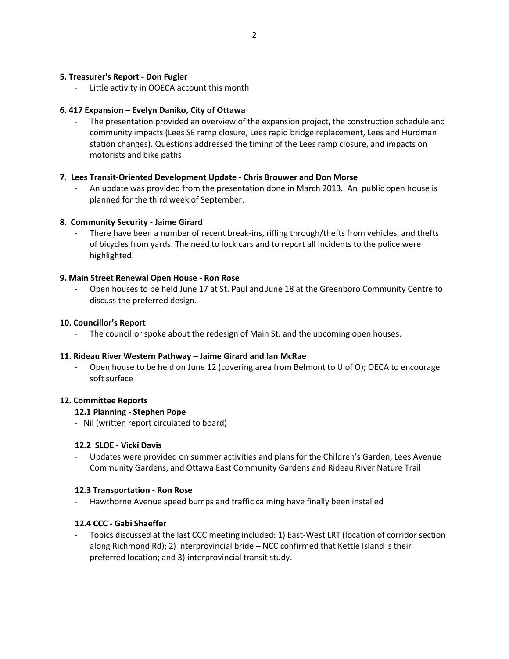# **5. Treasurer's Report - Don Fugler**

Little activity in OOECA account this month

# **6. 417 Expansion – Evelyn Daniko, City of Ottawa**

The presentation provided an overview of the expansion project, the construction schedule and community impacts (Lees SE ramp closure, Lees rapid bridge replacement, Lees and Hurdman station changes). Questions addressed the timing of the Lees ramp closure, and impacts on motorists and bike paths

# **7. Lees Transit-Oriented Development Update - Chris Brouwer and Don Morse**

- An update was provided from the presentation done in March 2013. An public open house is planned for the third week of September.

# **8. Community Security - Jaime Girard**

There have been a number of recent break-ins, rifling through/thefts from vehicles, and thefts of bicycles from yards. The need to lock cars and to report all incidents to the police were highlighted.

# **9. Main Street Renewal Open House - Ron Rose**

- Open houses to be held June 17 at St. Paul and June 18 at the Greenboro Community Centre to discuss the preferred design.

# **10. Councillor's Report**

The councillor spoke about the redesign of Main St. and the upcoming open houses.

# **11. Rideau River Western Pathway – Jaime Girard and Ian McRae**

Open house to be held on June 12 (covering area from Belmont to U of O); OECA to encourage soft surface

# **12. Committee Reports**

# **12.1 Planning - Stephen Pope**

- Nil (written report circulated to board)

# **12.2 SLOE - Vicki Davis**

Updates were provided on summer activities and plans for the Children's Garden, Lees Avenue Community Gardens, and Ottawa East Community Gardens and Rideau River Nature Trail

# **12.3 Transportation - Ron Rose**

Hawthorne Avenue speed bumps and traffic calming have finally been installed

# **12.4 CCC - Gabi Shaeffer**

Topics discussed at the last CCC meeting included: 1) East-West LRT (location of corridor section along Richmond Rd); 2) interprovincial bride – NCC confirmed that Kettle Island is their preferred location; and 3) interprovincial transit study.